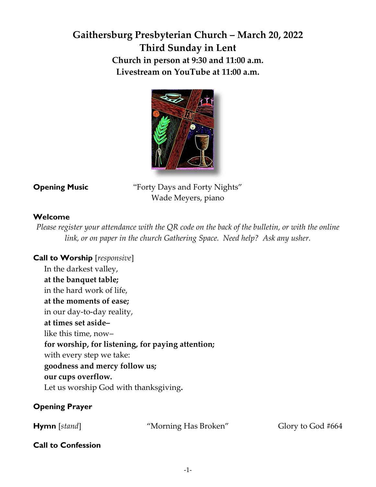# **Gaithersburg Presbyterian Church – March 20, 2022 Third Sunday in Lent Church in person at 9:30 and 11:00 a.m. Livestream on YouTube at 11:00 a.m.**



**Opening Music** "Forty Days and Forty Nights" Wade Meyers, piano

## **Welcome**

*Please register your attendance with the QR code on the back of the bulletin, or with the online link, or on paper in the church Gathering Space. Need help? Ask any usher.*

#### **Call to Worship** [*responsive*] In the darkest valley,

**at the banquet table;** in the hard work of life, **at the moments of ease;** in our day-to-day reality, **at times set aside–** like this time, now– **for worship, for listening, for paying attention;** with every step we take: **goodness and mercy follow us; our cups overflow.** Let us worship God with thanksgiving**.** 

## **Opening Prayer**

**Hymn** [*stand*] "Morning Has Broken" Glory to God #664

## **Call to Confession**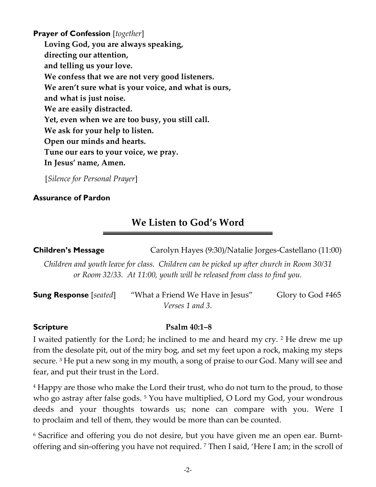**Prayer of Confession** [*together*] **Loving God, you are always speaking, directing our attention, and telling us your love. We confess that we are not very good listeners. We aren't sure what is your voice, and what is ours, and what is just noise. We are easily distracted. Yet, even when we are too busy, you still call. We ask for your help to listen. Open our minds and hearts. Tune our ears to your voice, we pray. In Jesus' name, Amen.**

[*Silence for Personal Prayer*]

## **Assurance of Pardon**

# **We Listen to God's Word**

**Children's Message** Carolyn Hayes (9:30)/Natalie Jorges-Castellano (11:00)

*Children and youth leave for class. Children can be picked up after church in Room 30/31 or Room 32/33. At 11:00, youth will be released from class to find you.* 

| <b>Sung Response</b> [seated] | "What a Friend We Have in Jesus" | Glory to God #465 |
|-------------------------------|----------------------------------|-------------------|
|                               | <i>Verses</i> 1 and 3.           |                   |

## **Scripture Psalm 40:1–8**

I waited patiently for the Lord; he inclined to me and heard my cry. <sup>2</sup> He drew me up from the desolate pit, out of the miry bog, and set my feet upon a rock, making my steps secure. <sup>3</sup> He put a new song in my mouth, a song of praise to our God. Many will see and fear, and put their trust in the Lord.

<sup>4</sup> Happy are those who make the Lord their trust, who do not turn to the proud, to those who go astray after false gods.<sup>5</sup> You have multiplied, O Lord my God, your wondrous deeds and your thoughts towards us; none can compare with you. Were I to proclaim and tell of them, they would be more than can be counted.

<sup>6</sup> Sacrifice and offering you do not desire, but you have given me an open ear. Burntoffering and sin-offering you have not required. <sup>7</sup> Then I said, 'Here I am; in the scroll of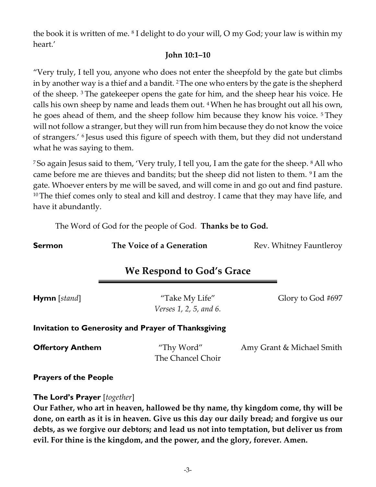the book it is written of me. <sup>8</sup> I delight to do your will, O my God; your law is within my heart.'

#### **John 10:1–10**

"Very truly, I tell you, anyone who does not enter the sheepfold by the gate but climbs in by another way is a thief and a bandit. 2The one who enters by the gate is the shepherd of the sheep. <sup>3</sup> The gatekeeper opens the gate for him, and the sheep hear his voice. He calls his own sheep by name and leads them out. 4When he has brought out all his own, he goes ahead of them, and the sheep follow him because they know his voice. <sup>5</sup> They will not follow a stranger, but they will run from him because they do not know the voice of strangers.' <sup>6</sup> Jesus used this figure of speech with them, but they did not understand what he was saying to them.

<sup>7</sup> So again Jesus said to them, 'Very truly, I tell you, I am the gate for the sheep. <sup>8</sup> All who came before me are thieves and bandits; but the sheep did not listen to them. <sup>9</sup> I am the gate. Whoever enters by me will be saved, and will come in and go out and find pasture. <sup>10</sup> The thief comes only to steal and kill and destroy. I came that they may have life, and have it abundantly.

The Word of God for the people of God. **Thanks be to God.**

| <b>Sermon</b>                                              | The Voice of a Generation                | Rev. Whitney Fauntleroy   |  |  |  |
|------------------------------------------------------------|------------------------------------------|---------------------------|--|--|--|
| We Respond to God's Grace                                  |                                          |                           |  |  |  |
| <b>Hymn</b> [stand]                                        | "Take My Life"<br>Verses 1, 2, 5, and 6. | Glory to God #697         |  |  |  |
| <b>Invitation to Generosity and Prayer of Thanksgiving</b> |                                          |                           |  |  |  |
| <b>Offertory Anthem</b>                                    | "Thy Word"<br>The Chancel Choir          | Amy Grant & Michael Smith |  |  |  |
| <b>Prayers of the People</b>                               |                                          |                           |  |  |  |

## **The Lord's Prayer** [*together*]

**Our Father, who art in heaven, hallowed be thy name, thy kingdom come, thy will be done, on earth as it is in heaven. Give us this day our daily bread; and forgive us our debts, as we forgive our debtors; and lead us not into temptation, but deliver us from evil. For thine is the kingdom, and the power, and the glory, forever. Amen.**